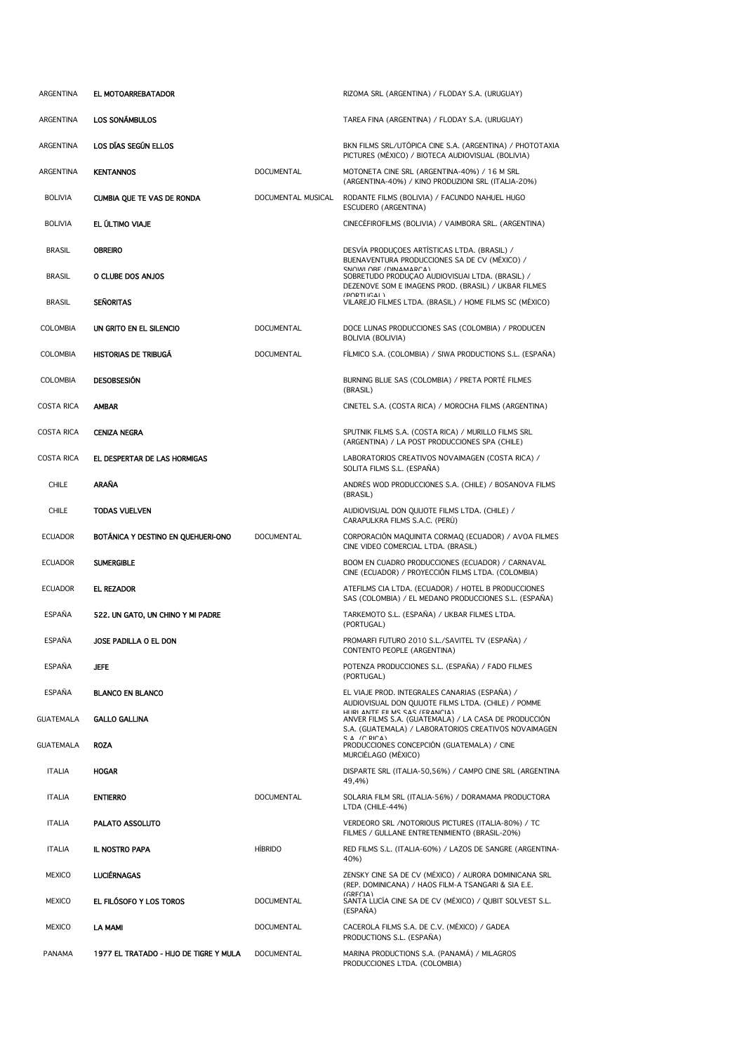| ARGENTINA         | EL MOTOARREBATADOR                     |                    | RIZOMA SRL (ARGENTINA) / FLODAY S.A. (URUGUAY)                                                                                          |
|-------------------|----------------------------------------|--------------------|-----------------------------------------------------------------------------------------------------------------------------------------|
| ARGENTINA         | LOS SONÁMBULOS                         |                    | TAREA FINA (ARGENTINA) / FLODAY S.A. (URUGUAY)                                                                                          |
| ARGENTINA         | LOS DÍAS SEGÚN ELLOS                   |                    | BKN FILMS SRL/UTÒPICA CINE S.A. (ARGENTINA) / PHOTOTAXIA<br>PICTURES (MÉXICO) / BIOTECA AUDIOVISUAL (BOLIVIA)                           |
| ARGENTINA         | <b>KENTANNOS</b>                       | <b>DOCUMENTAL</b>  | MOTONETA CINE SRL (ARGENTINA-40%) / 16 M SRL<br>(ARGENTINA-40%) / KINO PRODUZIONI SRL (ITALIA-20%)                                      |
| <b>BOLIVIA</b>    | <b>CUMBIA QUE TE VAS DE RONDA</b>      | DOCUMENTAL MUSICAL | RODANTE FILMS (BOLIVIA) / FACUNDO NAHUEL HUGO<br>ESCUDERO (ARGENTINA)                                                                   |
| <b>BOLIVIA</b>    | EL ÚLTIMO VIAJE                        |                    | CINECEFIROFILMS (BOLIVIA) / VAIMBORA SRL. (ARGENTINA)                                                                                   |
| <b>BRASIL</b>     | <b>OBREIRO</b>                         |                    | DESVIA PRODUÇOES ARTISTICAS LTDA. (BRASIL) /<br>BUENAVENTURA PRODUCCIONES SA DE CV (MÉXICO) /                                           |
| <b>BRASIL</b>     | O CLUBE DOS ANJOS                      |                    | SNOWLORE (DINAMARCA)<br>SOBRETUDO PRODUÇÃO AUDIOVISUAI LTDA. (BRASIL) /<br>DEZENOVE SOM E IMAGENS PROD. (BRASIL) / UKBAR FILMES         |
| <b>BRASIL</b>     | <b>SEÑORITAS</b>                       |                    | <b>(PORTHGAL)</b><br>VILAREJO FILMES LTDA. (BRASIL) / HOME FILMS SC (MÉXICO)                                                            |
| <b>COLOMBIA</b>   | UN GRITO EN EL SILENCIO                | <b>DOCUMENTAL</b>  | DOCE LUNAS PRODUCCIONES SAS (COLOMBIA) / PRODUCEN<br>BOLIVIA (BOLIVIA)                                                                  |
| <b>COLOMBIA</b>   | HISTORIAS DE TRIBUGÃ                   | <b>DOCUMENTAL</b>  | FILMICO S.A. (COLOMBIA) / SIWA PRODUCTIONS S.L. (ESPAÑA)                                                                                |
| <b>COLOMBIA</b>   | <b>DESOBSESIÓN</b>                     |                    | BURNING BLUE SAS (COLOMBIA) / PRETA PORTÉ FILMES<br>(BRASIL)                                                                            |
| <b>COSTA RICA</b> | <b>AMBAR</b>                           |                    | CINETEL S.A. (COSTA RICA) / MOROCHA FILMS (ARGENTINA)                                                                                   |
| COSTA RICA        | <b>CENIZA NEGRA</b>                    |                    | SPUTNIK FILMS S.A. (COSTA RICA) / MURILLO FILMS SRL<br>(ARGENTINA) / LA POST PRODUCCIONES SPA (CHILE)                                   |
| COSTA RICA        | EL DESPERTAR DE LAS HORMIGAS           |                    | LABORATORIOS CREATIVOS NOVAIMAGEN (COSTA RICA) /<br>SOLITA FILMS S.L. (ESPAÑA)                                                          |
| <b>CHILE</b>      | ARAÑA                                  |                    | ANDRÉS WOD PRODUCCIONES S.A. (CHILE) / BOSANOVA FILMS<br>(BRASIL)                                                                       |
| CHILE             | <b>TODAS VUELVEN</b>                   |                    | AUDIOVISUAL DON QUIJOTE FILMS LTDA. (CHILE) /<br>CARAPULKRA FILMS S.A.C. (PERÚ)                                                         |
| <b>ECUADOR</b>    | BOTANICA Y DESTINO EN QUEHUERI-ONO     | <b>DOCUMENTAL</b>  | CORPORACIÓN MAQUINITA CORMAQ (ECUADOR) / AVOA FILMES<br>CINE VIDEO COMERCIAL LTDA. (BRASIL)                                             |
| <b>ECUADOR</b>    | <b>SUMERGIBLE</b>                      |                    | BOOM EN CUADRO PRODUCCIONES (ECUADOR) / CARNAVAL<br>CINE (ECUADOR) / PROYECCIÓN FILMS LTDA. (COLOMBIA)                                  |
| <b>ECUADOR</b>    | <b>EL REZADOR</b>                      |                    | ATEFILMS CIA LTDA. (ECUADOR) / HOTEL B PRODUCCIONES<br>SAS (COLOMBIA) / EL MEDANO PRODUCCIONES S.L. (ESPAÑA)                            |
| ESPAÑA            | 522. UN GATO, UN CHINO Y MI PADRE      |                    | TARKEMOTO S.L. (ESPAÑA) / UKBAR FILMES LTDA.<br>(PORTUGAL)                                                                              |
| <b>ESPAÑA</b>     | JOSE PADILLA O EL DON                  |                    | PROMARFI FUTURO 2010 S.L./SAVITEL TV (ESPAÑA) /<br>CONTENTO PEOPLE (ARGENTINA)                                                          |
| <b>ESPAÑA</b>     | <b>JEFE</b>                            |                    | POTENZA PRODUCCIONES S.L. (ESPAÑA) / FADO FILMES<br>(PORTUGAL)                                                                          |
| ESPAÑA            | <b>BLANCO EN BLANCO</b>                |                    | EL VIAJE PROD. INTEGRALES CANARIAS (ESPAÑA) /<br>AUDIOVISUAL DON QUIJOTE FILMS LTDA. (CHILE) / POMME<br>HIIRI ANTE FII MS SAS (FRANCIA) |
| GUATEMALA         | <b>GALLO GALLINA</b>                   |                    | ANVER FILMS S.A. (GUATEMALA) / LA CASA DE PRODUCCIÓN<br>S.A. (GUATEMALA) / LABORATORIOS CREATIVOS NOVAIMAGEN<br>CA (CRICA)              |
| GUATEMALA         | <b>ROZA</b>                            |                    | PRODUCCIONES CONCEPCIÓN (GUATEMALA) / CINE<br>MURCIÉLAGO (MÉXICO)                                                                       |
| <b>ITALIA</b>     | <b>HOGAR</b>                           |                    | DISPARTE SRL (ITALIA-50,56%) / CAMPO CINE SRL (ARGENTINA-<br>49,4%)                                                                     |
| <b>ITALIA</b>     | <b>ENTIERRO</b>                        | <b>DOCUMENTAL</b>  | SOLARIA FILM SRL (ITALIA-56%) / DORAMAMA PRODUCTORA<br>LTDA (CHILE-44%)                                                                 |
| <b>ITALIA</b>     | PALATO ASSOLUTO                        |                    | VERDEORO SRL / NOTORIOUS PICTURES (ITALIA-80%) / TC<br>FILMES / GULLANE ENTRETENIMIENTO (BRASIL-20%)                                    |
| <b>ITALIA</b>     | <b>IL NOSTRO PAPA</b>                  | <b>HÍBRIDO</b>     | RED FILMS S.L. (ITALIA-60%) / LAZOS DE SANGRE (ARGENTINA-<br>40%)                                                                       |
| <b>MEXICO</b>     | <b>LUCIÉRNAGAS</b>                     |                    | ZENSKY CINE SA DE CV (MÉXICO) / AURORA DOMINICANA SRL<br>(REP. DOMINICANA) / HAOS FILM-A TSANGARI & SIA E.E.                            |
| <b>MEXICO</b>     | EL FILÓSOFO Y LOS TOROS                | <b>DOCUMENTAL</b>  | (GRFCIA)<br>SANTA LUCIA CINE SA DE CV (MÉXICO) / QUBIT SOLVEST S.L.<br>(ESPAÑA)                                                         |
| <b>MEXICO</b>     | LA MAMI                                | <b>DOCUMENTAL</b>  | CACEROLA FILMS S.A. DE C.V. (MÉXICO) / GADEA<br>PRODUCTIONS S.L. (ESPAÑA)                                                               |
| <b>PANAMA</b>     | 1977 EL TRATADO - HIJO DE TIGRE Y MULA | <b>DOCUMENTAL</b>  | MARINA PRODUCTIONS S.A. (PANAMA) / MILAGROS<br>PRODUCCIONES LTDA. (COLOMBIA)                                                            |